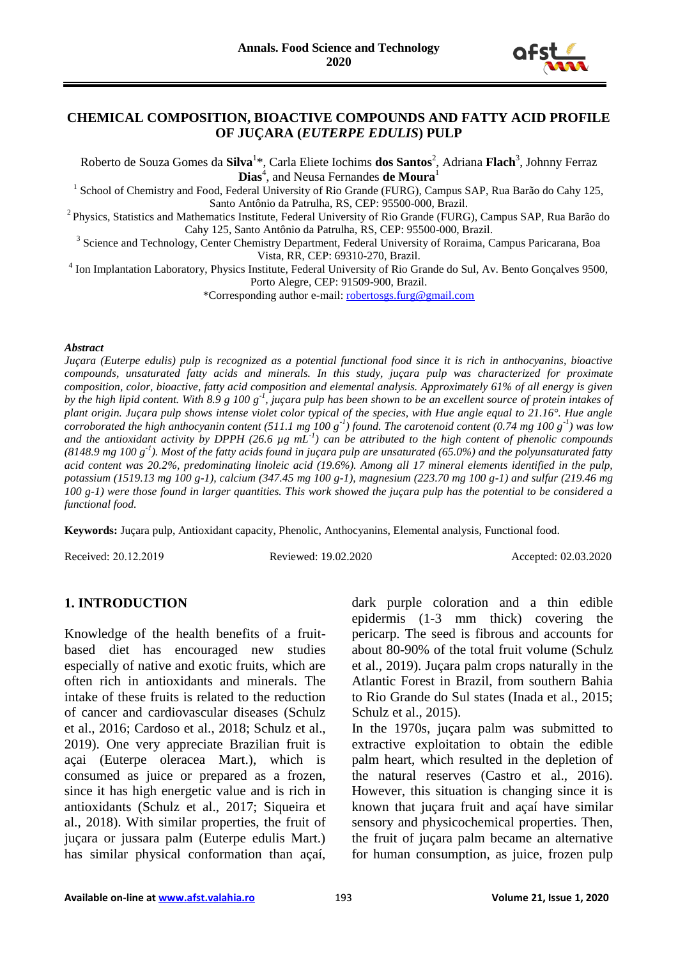

#### **CHEMICAL COMPOSITION, BIOACTIVE COMPOUNDS AND FATTY ACID PROFILE OF JUÇARA (***EUTERPE EDULIS***) PULP**

Roberto de Souza Gomes da **Silva**<sup>1</sup> \*, Carla Eliete Iochims **dos Santos**<sup>2</sup> , Adriana **Flach**<sup>3</sup> , Johnny Ferraz **Dias**<sup>4</sup> , and Neusa Fernandes **de Moura**<sup>1</sup>

<sup>1</sup> School of Chemistry and Food, Federal University of Rio Grande (FURG), Campus SAP, Rua Barão do Cahy 125, Santo Antônio da Patrulha, RS, CEP: 95500-000, Brazil.

<sup>2</sup> Physics, Statistics and Mathematics Institute, Federal University of Rio Grande (FURG), Campus SAP, Rua Barão do Cahy 125, Santo Antônio da Patrulha, RS, CEP: 95500-000, Brazil.

<sup>3</sup> Science and Technology, Center Chemistry Department, Federal University of Roraima, Campus Paricarana, Boa Vista, RR, CEP: 69310-270, Brazil.

<sup>4</sup> Ion Implantation Laboratory, Physics Institute, Federal University of Rio Grande do Sul, Av. Bento Gonçalves 9500, Porto Alegre, CEP: 91509-900, Brazil.

\*Corresponding author e-mail: [robertosgs.furg@gmail.com](mailto:robertosgs.furg@gmail.com)

#### *Abstract*

*Juçara (Euterpe edulis) pulp is recognized as a potential functional food since it is rich in anthocyanins, bioactive compounds, unsaturated fatty acids and minerals. In this study, juçara pulp was characterized for proximate composition, color, bioactive, fatty acid composition and elemental analysis. Approximately 61% of all energy is given*  by the high lipid content. With 8.9 g 100 g<sup>-1</sup>, juçara pulp has been shown to be an excellent source of protein intakes of *plant origin. Juçara pulp shows intense violet color typical of the species, with Hue angle equal to 21.16°. Hue angle corroborated the high anthocyanin content (511.1 mg 100 g-1 ) found. The carotenoid content (0.74 mg 100 g-1 ) was low and the antioxidant activity by DPPH (26.6 µg mL-1 ) can be attributed to the high content of phenolic compounds (8148.9 mg 100 g-1 ). Most of the fatty acids found in juçara pulp are unsaturated (65.0%) and the polyunsaturated fatty acid content was 20.2%, predominating linoleic acid (19.6%). Among all 17 mineral elements identified in the pulp, potassium (1519.13 mg 100 g-1), calcium (347.45 mg 100 g-1), magnesium (223.70 mg 100 g-1) and sulfur (219.46 mg 100 g-1) were those found in larger quantities. This work showed the juçara pulp has the potential to be considered a functional food.*

**Keywords:** Juçara pulp, Antioxidant capacity, Phenolic, Anthocyanins, Elemental analysis, Functional food.

Received: 20.12.2019 Reviewed: 19.02.2020 Accepted: 02.03.2020

#### **1. INTRODUCTION**

Knowledge of the health benefits of a fruitbased diet has encouraged new studies especially of native and exotic fruits, which are often rich in antioxidants and minerals. The intake of these fruits is related to the reduction of cancer and cardiovascular diseases (Schulz et al., 2016; Cardoso et al., 2018; Schulz et al., 2019). One very appreciate Brazilian fruit is açai (Euterpe oleracea Mart.), which is consumed as juice or prepared as a frozen, since it has high energetic value and is rich in antioxidants (Schulz et al., 2017; Siqueira et al., 2018). With similar properties, the fruit of juçara or jussara palm (Euterpe edulis Mart.) has similar physical conformation than açaí,

dark purple coloration and a thin edible epidermis (1-3 mm thick) covering the pericarp. The seed is fibrous and accounts for about 80-90% of the total fruit volume (Schulz et al., 2019). Juçara palm crops naturally in the Atlantic Forest in Brazil, from southern Bahia to Rio Grande do Sul states (Inada et al., 2015; Schulz et al., 2015).

In the 1970s, juçara palm was submitted to extractive exploitation to obtain the edible palm heart, which resulted in the depletion of the natural reserves (Castro et al., 2016). However, this situation is changing since it is known that juçara fruit and açaí have similar sensory and physicochemical properties. Then, the fruit of juçara palm became an alternative for human consumption, as juice, frozen pulp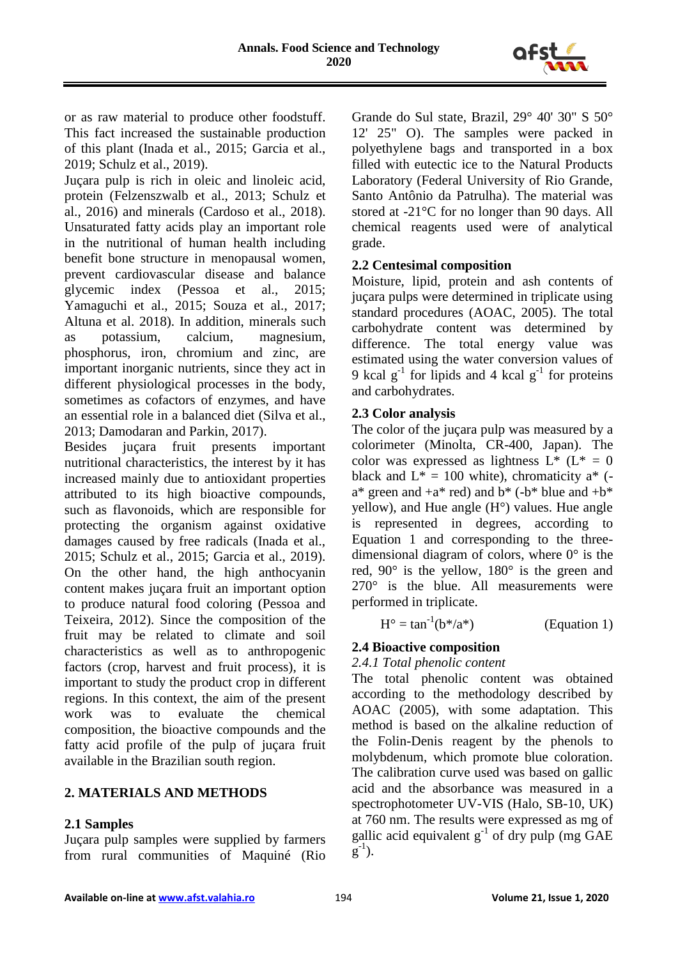

or as raw material to produce other foodstuff. This fact increased the sustainable production of this plant (Inada et al., 2015; Garcia et al., 2019; Schulz et al., 2019).

Juçara pulp is rich in oleic and linoleic acid, protein (Felzenszwalb et al., 2013; Schulz et al., 2016) and minerals (Cardoso et al., 2018). Unsaturated fatty acids play an important role in the nutritional of human health including benefit bone structure in menopausal women, prevent cardiovascular disease and balance glycemic index (Pessoa et al., 2015; Yamaguchi et al., 2015; Souza et al., 2017; Altuna et al. 2018). In addition, minerals such as potassium, calcium, magnesium, phosphorus, iron, chromium and zinc, are important inorganic nutrients, since they act in different physiological processes in the body, sometimes as cofactors of enzymes, and have an essential role in a balanced diet (Silva et al., 2013; Damodaran and Parkin, 2017).

Besides juçara fruit presents important nutritional characteristics, the interest by it has increased mainly due to antioxidant properties attributed to its high bioactive compounds, such as flavonoids, which are responsible for protecting the organism against oxidative damages caused by free radicals (Inada et al., 2015; Schulz et al., 2015; Garcia et al., 2019). On the other hand, the high anthocyanin content makes juçara fruit an important option to produce natural food coloring (Pessoa and Teixeira, 2012). Since the composition of the fruit may be related to climate and soil characteristics as well as to anthropogenic factors (crop, harvest and fruit process), it is important to study the product crop in different regions. In this context, the aim of the present work was to evaluate the chemical composition, the bioactive compounds and the fatty acid profile of the pulp of juçara fruit available in the Brazilian south region.

## **2. MATERIALS AND METHODS**

## **2.1 Samples**

Juçara pulp samples were supplied by farmers from rural communities of Maquiné (Rio Grande do Sul state, Brazil, 29° 40' 30" S 50° 12' 25" O). The samples were packed in polyethylene bags and transported in a box filled with eutectic ice to the Natural Products Laboratory (Federal University of Rio Grande, Santo Antônio da Patrulha). The material was stored at -21°C for no longer than 90 days. All chemical reagents used were of analytical grade.

# **2.2 Centesimal composition**

Moisture, lipid, protein and ash contents of juçara pulps were determined in triplicate using standard procedures (AOAC, 2005). The total carbohydrate content was determined by difference. The total energy value was estimated using the water conversion values of 9 kcal  $g^{-1}$  for lipids and 4 kcal  $g^{-1}$  for proteins and carbohydrates.

## **2.3 Color analysis**

The color of the juçara pulp was measured by a colorimeter (Minolta, CR-400, Japan). The color was expressed as lightness  $L^*$  ( $L^* = 0$ black and  $L^* = 100$  white), chromaticity a<sup>\*</sup> ( $a^*$  green and  $+a^*$  red) and  $b^*$  (- $b^*$  blue and  $+b^*$ yellow), and Hue angle (H°) values. Hue angle is represented in degrees, according to Equation 1 and corresponding to the threedimensional diagram of colors, where 0° is the red, 90° is the yellow, 180° is the green and 270° is the blue. All measurements were performed in triplicate.

$$
H^{\circ} = \tan^{-1}(b^*/a^*)
$$
 (Equation 1)

# **2.4 Bioactive composition**

## *2.4.1 Total phenolic content*

The total phenolic content was obtained according to the methodology described by AOAC (2005), with some adaptation. This method is based on the alkaline reduction of the Folin-Denis reagent by the phenols to molybdenum, which promote blue coloration. The calibration curve used was based on gallic acid and the absorbance was measured in a spectrophotometer UV-VIS (Halo, SB-10, UK) at 760 nm. The results were expressed as mg of gallic acid equivalent  $g^{-1}$  of dry pulp (mg GAE  $(g^{-1})$ .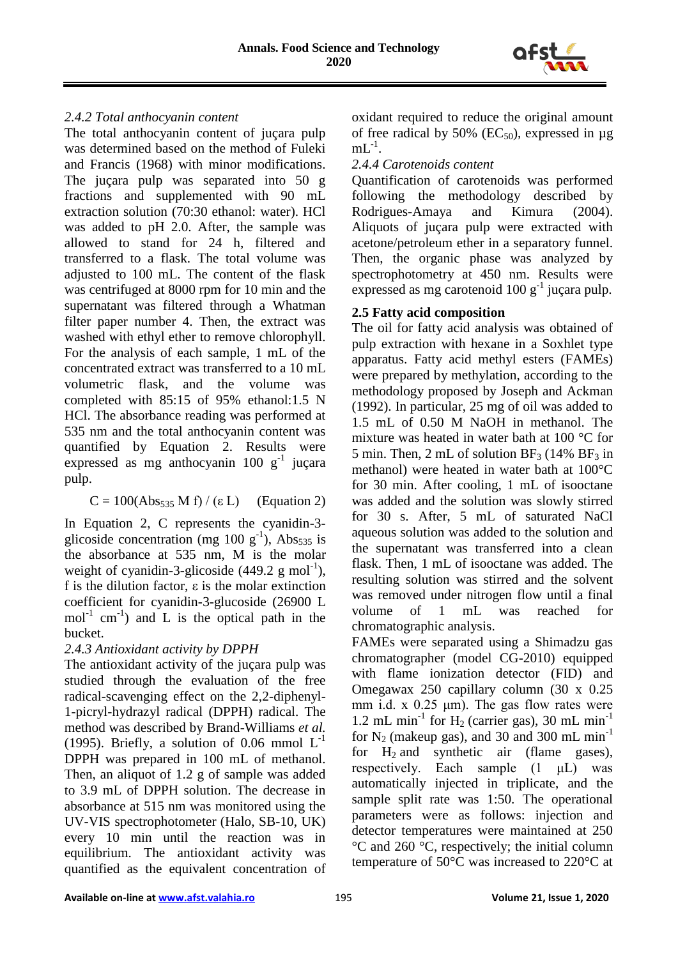

## *2.4.2 Total anthocyanin content*

The total anthocyanin content of juçara pulp was determined based on the method of Fuleki and Francis (1968) with minor modifications. The juçara pulp was separated into 50 g fractions and supplemented with 90 mL extraction solution (70:30 ethanol: water). HCl was added to pH 2.0. After, the sample was allowed to stand for 24 h, filtered and transferred to a flask. The total volume was adjusted to 100 mL. The content of the flask was centrifuged at 8000 rpm for 10 min and the supernatant was filtered through a Whatman filter paper number 4. Then, the extract was washed with ethyl ether to remove chlorophyll. For the analysis of each sample, 1 mL of the concentrated extract was transferred to a 10 mL volumetric flask, and the volume was completed with 85:15 of 95% ethanol:1.5 N HCl. The absorbance reading was performed at 535 nm and the total anthocyanin content was quantified by Equation 2. Results were expressed as mg anthocyanin  $100 \text{ g}^{-1}$  juçara pulp.

$$
C = 100(Abs_{535} M f) / (\epsilon L)
$$
 (Equation 2)

In Equation 2, C represents the cyanidin-3 glicoside concentration (mg 100  $g^{-1}$ ), Abs<sub>535</sub> is the absorbance at 535 nm, M is the molar weight of cyanidin-3-glicoside  $(449.2 \text{ g mol}^{-1})$ , f is the dilution factor,  $\varepsilon$  is the molar extinction coefficient for cyanidin-3-glucoside (26900 L  $mol<sup>-1</sup>$  cm<sup>-1</sup>) and L is the optical path in the bucket.

## *2.4.3 Antioxidant activity by DPPH*

The antioxidant activity of the juçara pulp was studied through the evaluation of the free radical-scavenging effect on the 2,2-diphenyl-1-picryl-hydrazyl radical (DPPH) radical. The method was described by Brand-Williams *et al.* (1995). Briefly, a solution of 0.06 mmol  $L^{-1}$ DPPH was prepared in 100 mL of methanol. Then, an aliquot of 1.2 g of sample was added to 3.9 mL of DPPH solution. The decrease in absorbance at 515 nm was monitored using the UV-VIS spectrophotometer (Halo, SB-10, UK) every 10 min until the reaction was in equilibrium. The antioxidant activity was quantified as the equivalent concentration of oxidant required to reduce the original amount of free radical by 50% ( $EC_{50}$ ), expressed in  $\mu$ g  $mL^{-1}$ .

#### *2.4.4 Carotenoids content*

Quantification of carotenoids was performed following the methodology described by Rodrigues-Amaya and Kimura (2004). Aliquots of juçara pulp were extracted with acetone/petroleum ether in a separatory funnel. Then, the organic phase was analyzed by spectrophotometry at 450 nm. Results were expressed as mg carotenoid  $100 g^{-1}$  juçara pulp.

## **2.5 Fatty acid composition**

The oil for fatty acid analysis was obtained of pulp extraction with hexane in a Soxhlet type apparatus. Fatty acid methyl esters (FAMEs) were prepared by methylation, according to the methodology proposed by Joseph and Ackman (1992). In particular, 25 mg of oil was added to 1.5 mL of 0.50 M NaOH in methanol. The mixture was heated in water bath at 100 °C for 5 min. Then, 2 mL of solution  $BF_3$  (14%  $BF_3$  in methanol) were heated in water bath at 100°C for 30 min. After cooling, 1 mL of isooctane was added and the solution was slowly stirred for 30 s. After, 5 mL of saturated NaCl aqueous solution was added to the solution and the supernatant was transferred into a clean flask. Then, 1 mL of isooctane was added. The resulting solution was stirred and the solvent was removed under nitrogen flow until a final volume of 1 mL was reached for chromatographic analysis.

FAMEs were separated using a Shimadzu gas chromatographer (model CG-2010) equipped with flame ionization detector (FID) and Omegawax 250 capillary column (30 x 0.25 mm i.d. x  $0.25 \mu m$ ). The gas flow rates were 1.2 mL min<sup>-1</sup> for  $H_2$  (carrier gas), 30 mL min<sup>-1</sup> for  $N_2$  (makeup gas), and 30 and 300 mL min<sup>-1</sup> for  $H_2$  and synthetic air (flame gases), respectively. Each sample (1 μL) was automatically injected in triplicate, and the sample split rate was 1:50. The operational parameters were as follows: injection and detector temperatures were maintained at 250 °C and 260 °C, respectively; the initial column temperature of 50°C was increased to 220°C at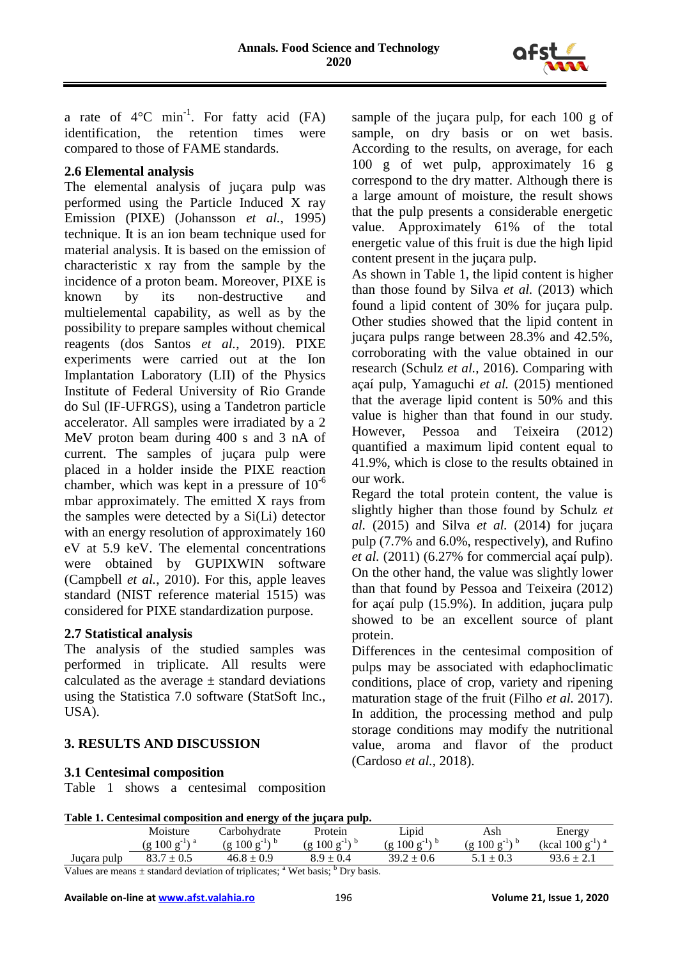

a rate of  $4^{\circ}$ C min<sup>-1</sup>. For fatty acid (FA) identification, the retention times were compared to those of FAME standards.

#### **2.6 Elemental analysis**

The elemental analysis of juçara pulp was performed using the Particle Induced X ray Emission (PIXE) (Johansson *et al.*, 1995) technique. It is an ion beam technique used for material analysis. It is based on the emission of characteristic x ray from the sample by the incidence of a proton beam. Moreover, PIXE is known by its non-destructive and multielemental capability, as well as by the possibility to prepare samples without chemical reagents (dos Santos *et al.*, 2019). PIXE experiments were carried out at the Ion Implantation Laboratory (LII) of the Physics Institute of Federal University of Rio Grande do Sul (IF-UFRGS), using a Tandetron particle accelerator. All samples were irradiated by a 2 MeV proton beam during 400 s and 3 nA of current. The samples of juçara pulp were placed in a holder inside the PIXE reaction chamber, which was kept in a pressure of  $10^{-6}$ mbar approximately. The emitted X rays from the samples were detected by a Si(Li) detector with an energy resolution of approximately 160 eV at 5.9 keV. The elemental concentrations were obtained by GUPIXWIN software (Campbell *et al.*, 2010). For this, apple leaves standard (NIST reference material 1515) was considered for PIXE standardization purpose.

## **2.7 Statistical analysis**

The analysis of the studied samples was performed in triplicate. All results were calculated as the average  $\pm$  standard deviations using the Statistica 7.0 software (StatSoft Inc., USA).

## **3. RESULTS AND DISCUSSION**

#### **3.1 Centesimal composition**

Table 1 shows a centesimal composition

sample of the juçara pulp, for each 100 g of sample, on dry basis or on wet basis. According to the results, on average, for each 100 g of wet pulp, approximately 16 g correspond to the dry matter. Although there is a large amount of moisture, the result shows that the pulp presents a considerable energetic value. Approximately 61% of the total energetic value of this fruit is due the high lipid content present in the juçara pulp.

As shown in Table 1, the lipid content is higher than those found by Silva *et al.* (2013) which found a lipid content of 30% for juçara pulp. Other studies showed that the lipid content in juçara pulps range between 28.3% and 42.5%, corroborating with the value obtained in our research (Schulz *et al.*, 2016). Comparing with açaí pulp, Yamaguchi *et al.* (2015) mentioned that the average lipid content is 50% and this value is higher than that found in our study. However, Pessoa and Teixeira (2012) quantified a maximum lipid content equal to 41.9%, which is close to the results obtained in our work.

Regard the total protein content, the value is slightly higher than those found by Schulz *et al.* (2015) and Silva *et al.* (2014) for juçara pulp (7.7% and 6.0%, respectively), and Rufino *et al.* (2011) (6.27% for commercial açaí pulp). On the other hand, the value was slightly lower than that found by Pessoa and Teixeira (2012) for açaí pulp (15.9%). In addition, juçara pulp showed to be an excellent source of plant protein.

Differences in the centesimal composition of pulps may be associated with edaphoclimatic conditions, place of crop, variety and ripening maturation stage of the fruit (Filho *et al.* 2017). In addition, the processing method and pulp storage conditions may modify the nutritional value, aroma and flavor of the product (Cardoso *et al.*, 2018).

**Table 1. Centesimal composition and energy of the juçara pulp.**

|                |                 |                                  | ------                                            |                                         |                                     |                                        |
|----------------|-----------------|----------------------------------|---------------------------------------------------|-----------------------------------------|-------------------------------------|----------------------------------------|
|                | Moisture        | Carbohydrate                     | Protein                                           | Lipid                                   | Ash                                 | Energy                                 |
|                | 100<br>$\sigma$ | 100<br>$-1 \times D$<br>$\sigma$ | 100<br>$-1$ $\setminus$ n<br>$\alpha$<br>$\sigma$ | $100\,$<br>$-1 \setminus D$<br>$\sigma$ | $100 \text{ g}$<br>$-1$<br>$\sigma$ | ∖ a<br>'kcal<br>$100 \text{ g}$<br>- 1 |
| pulp<br>Jucara | 02.7            | 46.8                             |                                                   | 0.6                                     | ∪.J                                 | 4.1                                    |
| $- - -$        | .               | $\sim$ $\sim$ $\sim$             | $9 - - -$<br>$h -$                                |                                         |                                     |                                        |

Values are means  $\pm$  standard deviation of triplicates;  $\alpha$ <sup>a</sup> Wet basis;  $\alpha$ <sup>b</sup> Dry basis.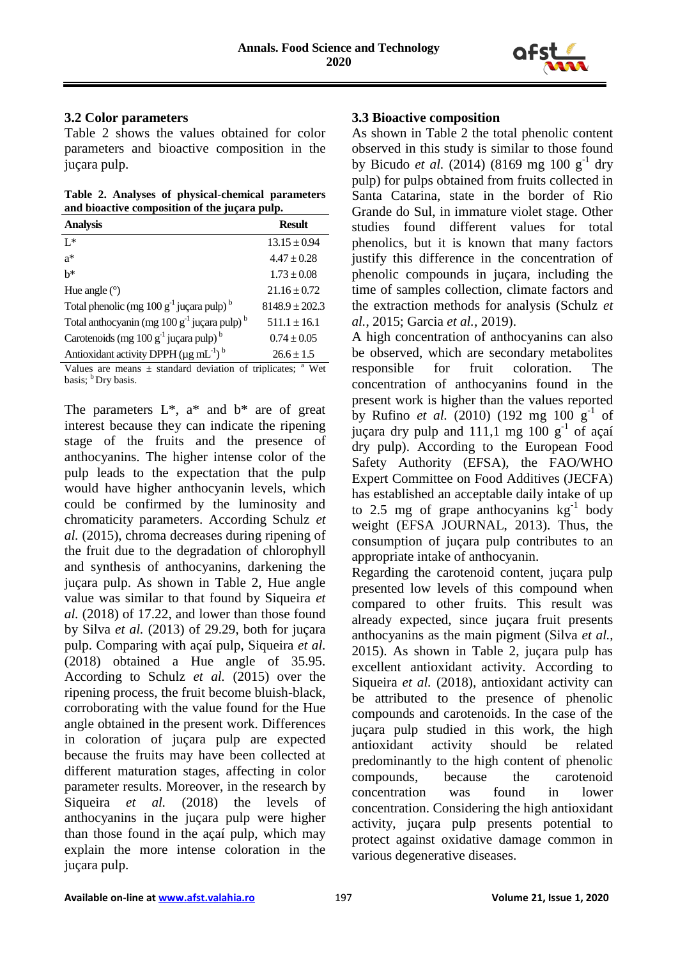

#### **3.2 Color parameters**

Table 2 shows the values obtained for color parameters and bioactive composition in the juçara pulp.

**Table 2. Analyses of physical-chemical parameters and bioactive composition of the juçara pulp.**

| <b>Analysis</b>                                                     | <b>Result</b>    |
|---------------------------------------------------------------------|------------------|
| $I^*$                                                               | $13.15 \pm 0.94$ |
| $a^*$                                                               | $4.47 \pm 0.28$  |
| $h^*$                                                               | $1.73 \pm 0.08$  |
| Hue angle $(°)$                                                     | $21.16 \pm 0.72$ |
| Total phenolic (mg $100 g^{-1}$ juçara pulp) <sup>b</sup>           | $8148.9 + 202.3$ |
| Total anthocyanin (mg $100 g-1$ juçara pulp) <sup>b</sup>           | $511.1 \pm 16.1$ |
| Carotenoids (mg $100 g^{-1}$ juçara pulp) <sup>b</sup>              | $0.74 \pm 0.05$  |
| Antioxidant activity DPPH ( $\mu$ g mL <sup>-1</sup> ) <sup>b</sup> | $26.6 \pm 1.5$   |

Values are means  $\pm$  standard deviation of triplicates;  $\alpha$  Wet basis;  $<sup>b</sup>$  Dry basis.</sup>

The parameters  $L^*$ ,  $a^*$  and  $b^*$  are of great interest because they can indicate the ripening stage of the fruits and the presence of anthocyanins. The higher intense color of the pulp leads to the expectation that the pulp would have higher anthocyanin levels, which could be confirmed by the luminosity and chromaticity parameters. According Schulz *et al.* (2015), chroma decreases during ripening of the fruit due to the degradation of chlorophyll and synthesis of anthocyanins, darkening the juçara pulp. As shown in Table 2, Hue angle value was similar to that found by Siqueira *et al.* (2018) of 17.22, and lower than those found by Silva *et al.* (2013) of 29.29, both for juçara pulp. Comparing with açaí pulp, Siqueira *et al.* (2018) obtained a Hue angle of 35.95. According to Schulz *et al.* (2015) over the ripening process, the fruit become bluish-black, corroborating with the value found for the Hue angle obtained in the present work. Differences in coloration of juçara pulp are expected because the fruits may have been collected at different maturation stages, affecting in color parameter results. Moreover, in the research by Siqueira *et al.* (2018) the levels of anthocyanins in the juçara pulp were higher than those found in the açaí pulp, which may explain the more intense coloration in the juçara pulp.

#### **3.3 Bioactive composition**

As shown in Table 2 the total phenolic content observed in this study is similar to those found by Bicudo *et al.* (2014) (8169 mg 100  $g^{-1}$  dry pulp) for pulps obtained from fruits collected in Santa Catarina, state in the border of Rio Grande do Sul, in immature violet stage. Other studies found different values for total phenolics, but it is known that many factors justify this difference in the concentration of phenolic compounds in juçara, including the time of samples collection, climate factors and the extraction methods for analysis (Schulz *et al.*, 2015; Garcia *et al.*, 2019).

A high concentration of anthocyanins can also be observed, which are secondary metabolites responsible for fruit coloration. The concentration of anthocyanins found in the present work is higher than the values reported by Rufino *et al.* (2010) (192 mg 100  $g^{-1}$  of juçara dry pulp and  $111,1$  mg  $100$  g<sup>-1</sup> of açaí dry pulp). According to the European Food Safety Authority (EFSA), the FAO/WHO Expert Committee on Food Additives (JECFA) has established an acceptable daily intake of up to 2.5 mg of grape anthocyanins  $kg^{-1}$  body weight (EFSA JOURNAL, 2013). Thus, the consumption of juçara pulp contributes to an appropriate intake of anthocyanin.

Regarding the carotenoid content, juçara pulp presented low levels of this compound when compared to other fruits. This result was already expected, since juçara fruit presents anthocyanins as the main pigment (Silva *et al.*, 2015). As shown in Table 2, juçara pulp has excellent antioxidant activity. According to Siqueira *et al.* (2018), antioxidant activity can be attributed to the presence of phenolic compounds and carotenoids. In the case of the juçara pulp studied in this work, the high antioxidant activity should be related predominantly to the high content of phenolic compounds, because the carotenoid concentration was found in lower concentration. Considering the high antioxidant activity, juçara pulp presents potential to protect against oxidative damage common in various degenerative diseases.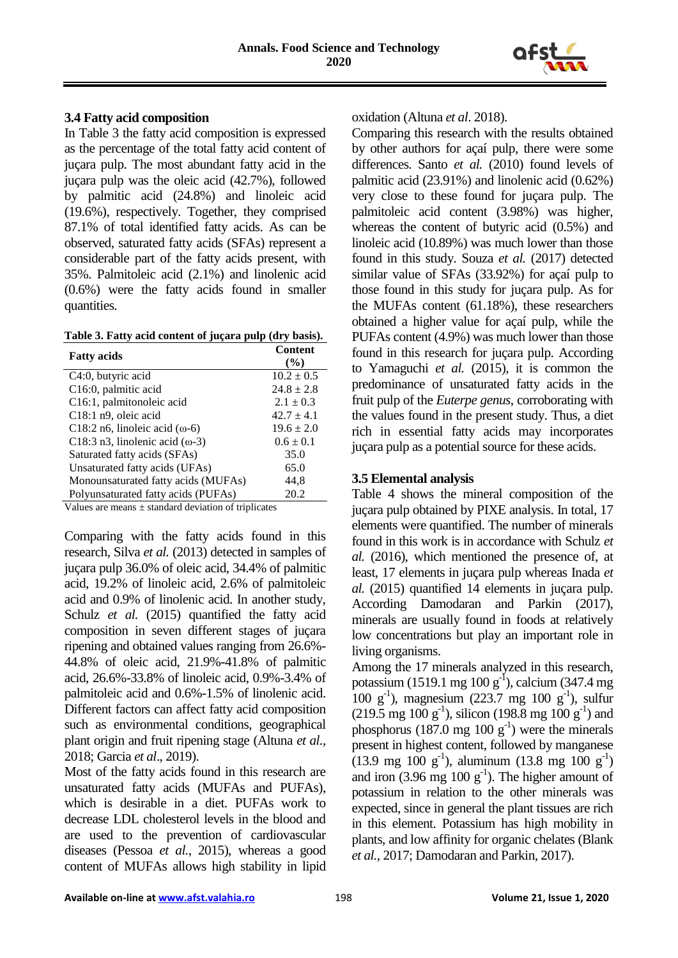

#### **3.4 Fatty acid composition**

In Table 3 the fatty acid composition is expressed as the percentage of the total fatty acid content of juçara pulp. The most abundant fatty acid in the juçara pulp was the oleic acid (42.7%), followed by palmitic acid (24.8%) and linoleic acid (19.6%), respectively. Together, they comprised 87.1% of total identified fatty acids. As can be observed, saturated fatty acids (SFAs) represent a considerable part of the fatty acids present, with 35%. Palmitoleic acid (2.1%) and linolenic acid (0.6%) were the fatty acids found in smaller quantities.

**Table 3. Fatty acid content of juçara pulp (dry basis).**

| <b>Fatty acids</b>                      | <b>Content</b><br>$\frac{9}{6}$ |  |
|-----------------------------------------|---------------------------------|--|
| C4:0, butyric acid                      | $10.2 \pm 0.5$                  |  |
| C16:0, palmitic acid                    | $24.8 \pm 2.8$                  |  |
| C16:1, palmitonoleic acid               | $2.1 \pm 0.3$                   |  |
| $C18:1$ n9, oleic acid                  | $42.7 \pm 4.1$                  |  |
| C18:2 n6, linoleic acid $(\omega - 6)$  | $19.6 \pm 2.0$                  |  |
| C18:3 n3, linolenic acid $(\omega - 3)$ | $0.6 \pm 0.1$                   |  |
| Saturated fatty acids (SFAs)            | 35.0                            |  |
| Unsaturated fatty acids (UFAs)          | 65.0                            |  |
| Monounsaturated fatty acids (MUFAs)     | 44,8                            |  |
| Polyunsaturated fatty acids (PUFAs)     | 20.2                            |  |
|                                         |                                 |  |

Values are means  $\pm$  standard deviation of triplicates

Comparing with the fatty acids found in this research, Silva *et al.* (2013) detected in samples of juçara pulp 36.0% of oleic acid, 34.4% of palmitic acid, 19.2% of linoleic acid, 2.6% of palmitoleic acid and 0.9% of linolenic acid. In another study, Schulz *et al.* (2015) quantified the fatty acid composition in seven different stages of juçara ripening and obtained values ranging from 26.6%- 44.8% of oleic acid, 21.9%-41.8% of palmitic acid, 26.6%-33.8% of linoleic acid, 0.9%-3.4% of palmitoleic acid and 0.6%-1.5% of linolenic acid. Different factors can affect fatty acid composition such as environmental conditions, geographical plant origin and fruit ripening stage (Altuna *et al.*, 2018; Garcia *et al*., 2019).

Most of the fatty acids found in this research are unsaturated fatty acids (MUFAs and PUFAs), which is desirable in a diet. PUFAs work to decrease LDL cholesterol levels in the blood and are used to the prevention of cardiovascular diseases (Pessoa *et al.*, 2015), whereas a good content of MUFAs allows high stability in lipid

#### oxidation (Altuna *et al*. 2018).

Comparing this research with the results obtained by other authors for açaí pulp, there were some differences. Santo *et al.* (2010) found levels of palmitic acid (23.91%) and linolenic acid (0.62%) very close to these found for juçara pulp. The palmitoleic acid content (3.98%) was higher, whereas the content of butyric acid (0.5%) and linoleic acid (10.89%) was much lower than those found in this study. Souza *et al.* (2017) detected similar value of SFAs (33.92%) for açaí pulp to those found in this study for juçara pulp. As for the MUFAs content (61.18%), these researchers obtained a higher value for açaí pulp, while the PUFAs content (4.9%) was much lower than those found in this research for juçara pulp. According to Yamaguchi *et al.* (2015), it is common the predominance of unsaturated fatty acids in the fruit pulp of the *Euterpe genus*, corroborating with the values found in the present study. Thus, a diet rich in essential fatty acids may incorporates juçara pulp as a potential source for these acids.

#### **3.5 Elemental analysis**

Table 4 shows the mineral composition of the juçara pulp obtained by PIXE analysis. In total, 17 elements were quantified. The number of minerals found in this work is in accordance with Schulz *et al.* (2016), which mentioned the presence of, at least, 17 elements in juçara pulp whereas Inada *et al.* (2015) quantified 14 elements in juçara pulp. According Damodaran and Parkin (2017), minerals are usually found in foods at relatively low concentrations but play an important role in living organisms.

Among the 17 minerals analyzed in this research, potassium (1519.1 mg 100  $g^{-1}$ ), calcium (347.4 mg 100 g-1 ), magnesium (223.7 mg 100 g-1 ), sulfur  $(219.5 \text{ mg } 100 \text{ g}^{-1})$ , silicon  $(198.8 \text{ mg } 100 \text{ g}^{-1})$  and phosphorus (187.0 mg 100  $g^{-1}$ ) were the minerals present in highest content, followed by manganese  $(13.9 \text{ mg } 100 \text{ g}^{-1})$ , aluminum  $(13.8 \text{ mg } 100 \text{ g}^{-1})$ and iron  $(3.96 \text{ mg } 100 \text{ g}^{-1})$ . The higher amount of potassium in relation to the other minerals was expected, since in general the plant tissues are rich in this element. Potassium has high mobility in plants, and low affinity for organic chelates (Blank *et al.*, 2017; Damodaran and Parkin, 2017).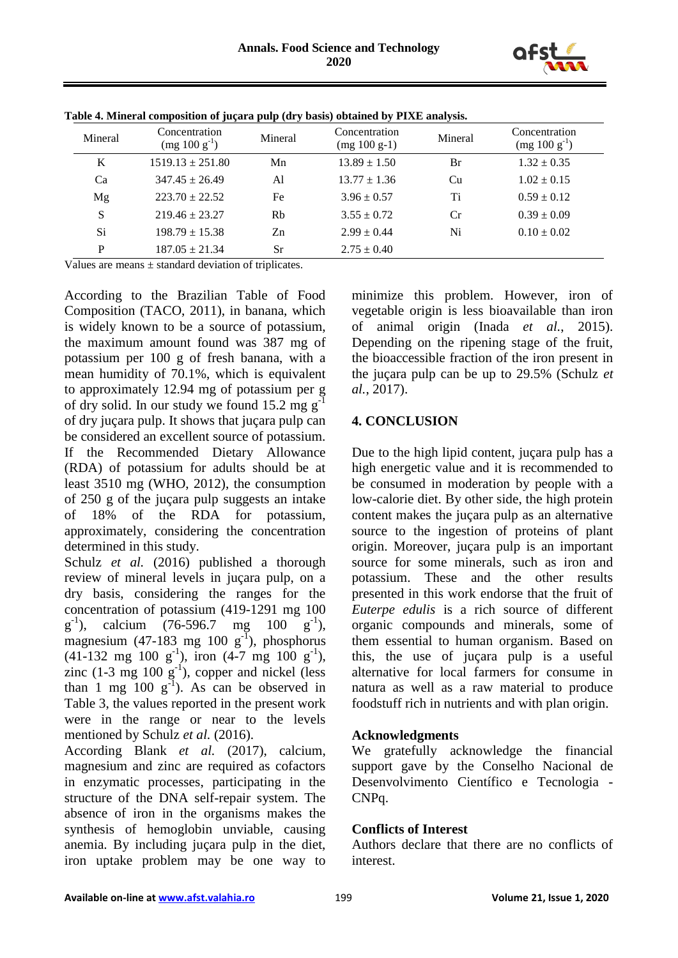

| Mineral | Concentration<br>$(mg 100 g^{-1})$ | Mineral   | Concentration<br>$(mg 100 g-1)$ | Mineral | Concentration<br>$(mg 100 g^{-1})$ |
|---------|------------------------------------|-----------|---------------------------------|---------|------------------------------------|
| K       | $1519.13 \pm 251.80$               | Mn        | $13.89 \pm 1.50$                | Br      | $1.32 \pm 0.35$                    |
| Ca      | $347.45 \pm 26.49$                 | Al        | $13.77 \pm 1.36$                | Cu      | $1.02 \pm 0.15$                    |
| Mg      | $223.70 \pm 22.52$                 | Fe        | $3.96 \pm 0.57$                 | Ti      | $0.59 \pm 0.12$                    |
| S       | $219.46 \pm 23.27$                 | Rb        | $3.55 \pm 0.72$                 | Cr      | $0.39 \pm 0.09$                    |
| Si      | $198.79 \pm 15.38$                 | Zn        | $2.99 \pm 0.44$                 | Ni      | $0.10 \pm 0.02$                    |
| P       | $187.05 \pm 21.34$                 | <b>Sr</b> | $2.75 \pm 0.40$                 |         |                                    |

**Table 4. Mineral composition of juçara pulp (dry basis) obtained by PIXE analysis.**

Values are means  $\pm$  standard deviation of triplicates.

According to the Brazilian Table of Food Composition (TACO, 2011), in banana, which is widely known to be a source of potassium, the maximum amount found was 387 mg of potassium per 100 g of fresh banana, with a mean humidity of 70.1%, which is equivalent to approximately 12.94 mg of potassium per g of dry solid. In our study we found 15.2 mg  $g^{-1}$ of dry juçara pulp. It shows that juçara pulp can be considered an excellent source of potassium. If the Recommended Dietary Allowance (RDA) of potassium for adults should be at least 3510 mg (WHO, 2012), the consumption of 250 g of the juçara pulp suggests an intake of 18% of the RDA for potassium, approximately, considering the concentration determined in this study.

Schulz *et al.* (2016) published a thorough review of mineral levels in juçara pulp, on a dry basis, considering the ranges for the concentration of potassium (419-1291 mg 100  $g^{-1}$ ), calcium (76-596.7 mg 100  $g^{-1}$ ), magnesium (47-183 mg 100  $g^{-1}$ ), phosphorus  $(41-132 \text{ mg } 100 \text{ g}^{-1})$ , iron  $(4-7 \text{ mg } 100 \text{ g}^{-1})$ , zinc  $(1-3 \text{ mg } 100 \text{ g}^{-1})$ , copper and nickel (less than 1 mg  $100 \text{ g}^{-1}$ ). As can be observed in Table 3, the values reported in the present work were in the range or near to the levels mentioned by Schulz *et al.* (2016).

According Blank *et al.* (2017), calcium, magnesium and zinc are required as cofactors in enzymatic processes, participating in the structure of the DNA self-repair system. The absence of iron in the organisms makes the synthesis of hemoglobin unviable, causing anemia. By including juçara pulp in the diet, iron uptake problem may be one way to

minimize this problem. However, iron of vegetable origin is less bioavailable than iron of animal origin (Inada *et al.*, 2015). Depending on the ripening stage of the fruit, the bioaccessible fraction of the iron present in the juçara pulp can be up to 29.5% (Schulz *et al.*, 2017).

#### **4. CONCLUSION**

Due to the high lipid content, juçara pulp has a high energetic value and it is recommended to be consumed in moderation by people with a low-calorie diet. By other side, the high protein content makes the juçara pulp as an alternative source to the ingestion of proteins of plant origin. Moreover, juçara pulp is an important source for some minerals, such as iron and potassium. These and the other results presented in this work endorse that the fruit of *Euterpe edulis* is a rich source of different organic compounds and minerals, some of them essential to human organism. Based on this, the use of juçara pulp is a useful alternative for local farmers for consume in natura as well as a raw material to produce foodstuff rich in nutrients and with plan origin.

## **Acknowledgments**

We gratefully acknowledge the financial support gave by the Conselho Nacional de Desenvolvimento Científico e Tecnologia - CNPq.

## **Conflicts of Interest**

Authors declare that there are no conflicts of interest.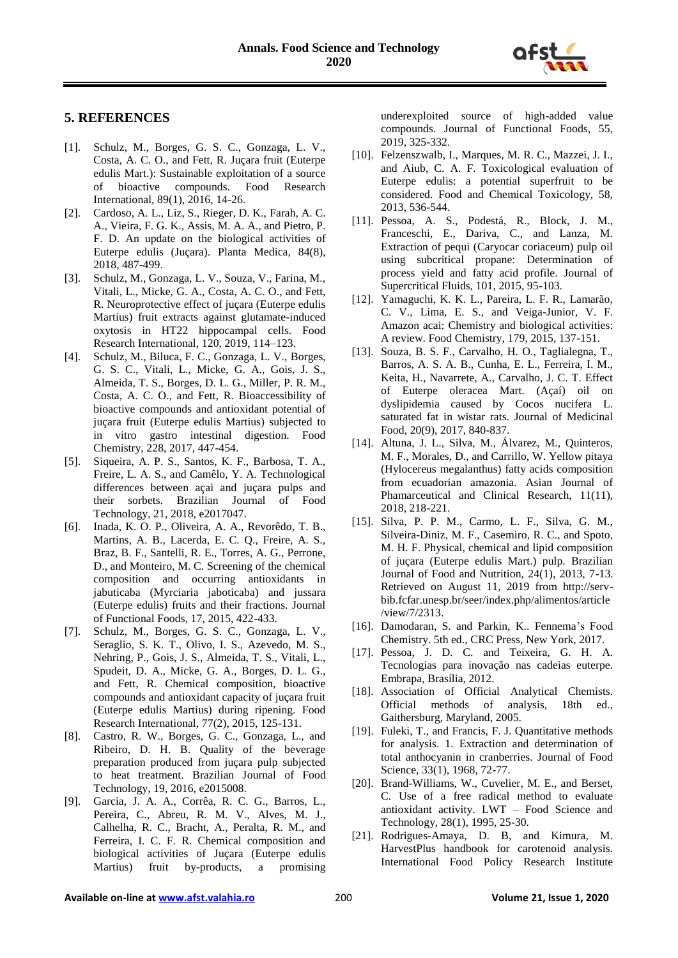

#### **5. REFERENCES**

- [1]. Schulz, M., Borges, G. S. C., Gonzaga, L. V., Costa, A. C. O., and Fett, R. Juçara fruit (Euterpe edulis Mart.): Sustainable exploitation of a source of bioactive compounds. Food Research International, 89(1), 2016, 14-26.
- [2]. Cardoso, A. L., Liz, S., Rieger, D. K., Farah, A. C. A., Vieira, F. G. K., Assis, M. A. A., and Pietro, P. F. D. An update on the biological activities of Euterpe edulis (Juçara). Planta Medica, 84(8), 2018, 487-499.
- [3]. Schulz, M., Gonzaga, L. V., Souza, V., Farina, M., Vitali, L., Micke, G. A., Costa, A. C. O., and Fett, R. Neuroprotective effect of juçara (Euterpe edulis Martius) fruit extracts against glutamate-induced oxytosis in HT22 hippocampal cells. Food Research International, 120, 2019, 114–123.
- [4]. Schulz, M., Biluca, F. C., Gonzaga, L. V., Borges, G. S. C., Vitali, L., Micke, G. A., Gois, J. S., Almeida, T. S., Borges, D. L. G., Miller, P. R. M., Costa, A. C. O., and Fett, R. Bioaccessibility of bioactive compounds and antioxidant potential of juçara fruit (Euterpe edulis Martius) subjected to in vitro gastro intestinal digestion. Food Chemistry, 228, 2017, 447-454.
- [5]. Siqueira, A. P. S., Santos, K. F., Barbosa, T. A., Freire, L. A. S., and Camêlo, Y. A. Technological differences between açai and juçara pulps and their sorbets. Brazilian Journal of Food Technology, 21, 2018, e2017047.
- [6]. Inada, K. O. P., Oliveira, A. A., Revorêdo, T. B., Martins, A. B., Lacerda, E. C. Q., Freire, A. S., Braz, B. F., Santelli, R. E., Torres, A. G., Perrone, D., and Monteiro, M. C. Screening of the chemical composition and occurring antioxidants in jabuticaba (Myrciaria jaboticaba) and jussara (Euterpe edulis) fruits and their fractions. Journal of Functional Foods, 17, 2015, 422-433.
- [7]. Schulz, M., Borges, G. S. C., Gonzaga, L. V., Seraglio, S. K. T., Olivo, I. S., Azevedo, M. S., Nehring, P., Gois, J. S., Almeida, T. S., Vitali, L., Spudeit, D. A., Micke, G. A., Borges, D. L. G., and Fett, R. Chemical composition, bioactive compounds and antioxidant capacity of juçara fruit (Euterpe edulis Martius) during ripening. Food Research International, 77(2), 2015, 125-131.
- [8]. Castro, R. W., Borges, G. C., Gonzaga, L., and Ribeiro, D. H. B. Quality of the beverage preparation produced from juçara pulp subjected to heat treatment. Brazilian Journal of Food Technology, 19, 2016, e2015008.
- [9]. Garcia, J. A. A., Corrêa, R. C. G., Barros, L., Pereira, C., Abreu, R. M. V., Alves, M. J., Calhelha, R. C., Bracht, A., Peralta, R. M., and Ferreira, I. C. F. R. Chemical composition and biological activities of Juçara (Euterpe edulis Martius) fruit by-products, a promising

underexploited source of high-added value compounds. Journal of Functional Foods, 55, 2019, 325-332.

- [10]. Felzenszwalb, I., Marques, M. R. C., Mazzei, J. I., and Aiub, C. A. F. Toxicological evaluation of Euterpe edulis: a potential superfruit to be considered. Food and Chemical Toxicology, 58, 2013, 536-544.
- [11]. Pessoa, A. S., Podestá, R., Block, J. M., Franceschi, E., Dariva, C., and Lanza, M. Extraction of pequi (Caryocar coriaceum) pulp oil using subcritical propane: Determination of process yield and fatty acid profile. Journal of Supercritical Fluids, 101, 2015, 95-103.
- [12]. Yamaguchi, K. K. L., Pareira, L. F. R., Lamarão, C. V., Lima, E. S., and Veiga-Junior, V. F. Amazon acai: Chemistry and biological activities: A review. Food Chemistry, 179, 2015, 137-151.
- [13]. Souza, B. S. F., Carvalho, H. O., Taglialegna, T., Barros, A. S. A. B., Cunha, E. L., Ferreira, I. M., Keita, H., Navarrete, A., Carvalho, J. C. T. Effect of Euterpe oleracea Mart. (Açaí) oil on dyslipidemia caused by Cocos nucifera L. saturated fat in wistar rats. Journal of Medicinal Food, 20(9), 2017, 840-837.
- [14]. Altuna, J. L., Silva, M., Álvarez, M., Quinteros, M. F., Morales, D., and Carrillo, W. Yellow pitaya (Hylocereus megalanthus) fatty acids composition from ecuadorian amazonia. Asian Journal of Phamarceutical and Clinical Research, 11(11), 2018, 218-221.
- [15]. Silva, P. P. M., Carmo, L. F., Silva, G. M., Silveira-Diniz, M. F., Casemiro, R. C., and Spoto, M. H. F. Physical, chemical and lipid composition of juçara (Euterpe edulis Mart.) pulp. Brazilian Journal of Food and Nutrition, 24(1), 2013, 7-13. Retrieved on August 11, 2019 from http://servbib.fcfar.unesp.br/seer/index.php/alimentos/article /view/7/2313.
- [16]. Damodaran, S. and Parkin, K.. Fennema's Food Chemistry. 5th ed., CRC Press, New York, 2017.
- [17]. Pessoa, J. D. C. and Teixeira, G. H. A. Tecnologias para inovação nas cadeias euterpe. Embrapa, Brasília, 2012.
- [18]. Association of Official Analytical Chemists. Official methods of analysis, 18th ed., Gaithersburg, Maryland, 2005.
- [19]. Fuleki, T., and Francis, F. J. Quantitative methods for analysis. 1. Extraction and determination of total anthocyanin in cranberries. Journal of Food Science, 33(1), 1968, 72-77.
- [20]. Brand-Williams, W., Cuvelier, M. E., and Berset, C. Use of a free radical method to evaluate antioxidant activity. LWT – Food Science and Technology, 28(1), 1995, 25-30.
- [21]. Rodrigues-Amaya, D. B, and Kimura, M. HarvestPlus handbook for carotenoid analysis. International Food Policy Research Institute